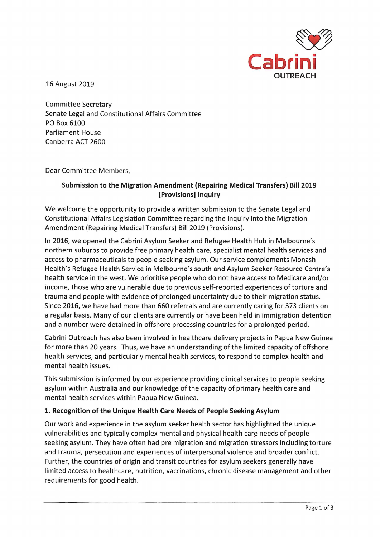

16 August 2019

**Committee Secretary** Senate Legal and Constitutional Affairs Committee PO Box 6100 **Parliament House** Canberra ACT 2600

Dear Committee Members,

## Submission to the Migration Amendment (Repairing Medical Transfers) Bill 2019 [Provisions] Inquiry

We welcome the opportunity to provide a written submission to the Senate Legal and Constitutional Affairs Legislation Committee regarding the Inquiry into the Migration Amendment (Repairing Medical Transfers) Bill 2019 (Provisions).

In 2016, we opened the Cabrini Asylum Seeker and Refugee Health Hub in Melbourne's northern suburbs to provide free primary health care, specialist mental health services and access to pharmaceuticals to people seeking asylum. Our service complements Monash Health's Refugee Health Service in Melbourne's south and Asylum Seeker Resource Centre's health service in the west. We prioritise people who do not have access to Medicare and/or income, those who are vulnerable due to previous self-reported experiences of torture and trauma and people with evidence of prolonged uncertainty due to their migration status. Since 2016, we have had more than 660 referrals and are currently caring for 373 clients on a regular basis. Many of our clients are currently or have been held in immigration detention and a number were detained in offshore processing countries for a prolonged period.

Cabrini Outreach has also been involved in healthcare delivery projects in Papua New Guinea for more than 20 years. Thus, we have an understanding of the limited capacity of offshore health services, and particularly mental health services, to respond to complex health and mental health issues.

This submission is informed by our experience providing clinical services to people seeking asylum within Australia and our knowledge of the capacity of primary health care and mental health services within Papua New Guinea.

## 1. Recognition of the Unique Health Care Needs of People Seeking Asylum

Our work and experience in the asylum seeker health sector has highlighted the unique vulnerabilities and typically complex mental and physical health care needs of people seeking asylum. They have often had pre migration and migration stressors including torture and trauma, persecution and experiences of interpersonal violence and broader conflict. Further, the countries of origin and transit countries for asylum seekers generally have limited access to healthcare, nutrition, vaccinations, chronic disease management and other requirements for good health.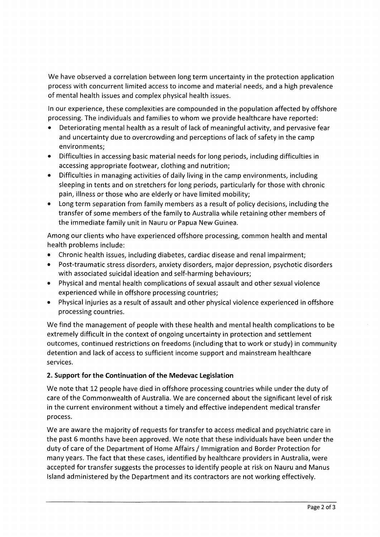We have observed a correlation between long term uncertainty in the protection application process with concurrent limited access to income and material needs, and a high prevalence of mental health issues and complex physical health issues.

In our experience, these complexities are compounded in the population affected by offshore processing. The individuals and families to whom we provide healthcare have reported:

- Deteriorating mental health as a result of lack of meaningful activity, and pervasive fear and uncertainty due to overcrowding and perceptions of lack of safety in the camp environments:
- Difficulties in accessing basic material needs for long periods, including difficulties in  $\bullet$ accessing appropriate footwear, clothing and nutrition;
- Difficulties in managing activities of daily living in the camp environments, including  $\bullet$ sleeping in tents and on stretchers for long periods, particularly for those with chronic pain, illness or those who are elderly or have limited mobility;
- Long term separation from family members as a result of policy decisions, including the transfer of some members of the family to Australia while retaining other members of the immediate family unit in Nauru or Papua New Guinea.

Among our clients who have experienced offshore processing, common health and mental health problems include:

- Chronic health issues, including diabetes, cardiac disease and renal impairment;
- Post-traumatic stress disorders, anxiety disorders, major depression, psychotic disorders  $\bullet$ with associated suicidal ideation and self-harming behaviours;
- Physical and mental health complications of sexual assault and other sexual violence experienced while in offshore processing countries;
- Physical injuries as a result of assault and other physical violence experienced in offshore processing countries.

We find the management of people with these health and mental health complications to be extremely difficult in the context of ongoing uncertainty in protection and settlement outcomes, continued restrictions on freedoms (including that to work or study) in community detention and lack of access to sufficient income support and mainstream healthcare services.

# 2. Support for the Continuation of the Medevac Legislation

We note that 12 people have died in offshore processing countries while under the duty of care of the Commonwealth of Australia. We are concerned about the significant level of risk in the current environment without a timely and effective independent medical transfer process.

We are aware the majority of requests for transfer to access medical and psychiatric care in the past 6 months have been approved. We note that these individuals have been under the duty of care of the Department of Home Affairs / Immigration and Border Protection for many years. The fact that these cases, identified by healthcare providers in Australia, were accepted for transfer suggests the processes to identify people at risk on Nauru and Manus Island administered by the Department and its contractors are not working effectively.